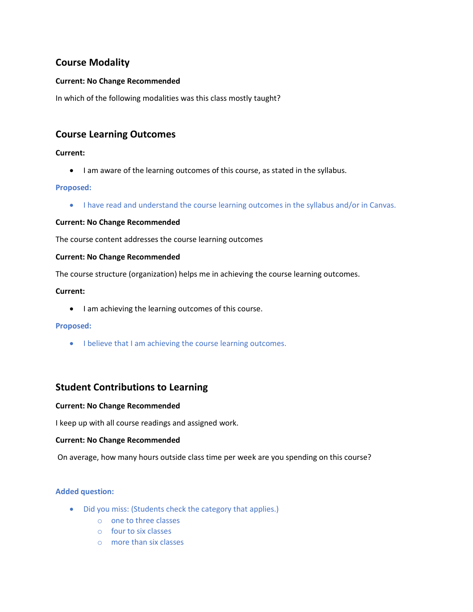# **Course Modality**

## **Current: No Change Recommended**

In which of the following modalities was this class mostly taught?

# **Course Learning Outcomes**

## **Current:**

• I am aware of the learning outcomes of this course, as stated in the syllabus.

## **Proposed:**

• I have read and understand the course learning outcomes in the syllabus and/or in Canvas.

## **Current: No Change Recommended**

The course content addresses the course learning outcomes

#### **Current: No Change Recommended**

The course structure (organization) helps me in achieving the course learning outcomes.

## **Current:**

• I am achieving the learning outcomes of this course.

## **Proposed:**

• I believe that I am achieving the course learning outcomes.

## **Student Contributions to Learning**

## **Current: No Change Recommended**

I keep up with all course readings and assigned work.

## **Current: No Change Recommended**

On average, how many hours outside class time per week are you spending on this course?

## **Added question:**

- Did you miss: (Students check the category that applies.)
	- o one to three classes
	- o four to six classes
	- o more than six classes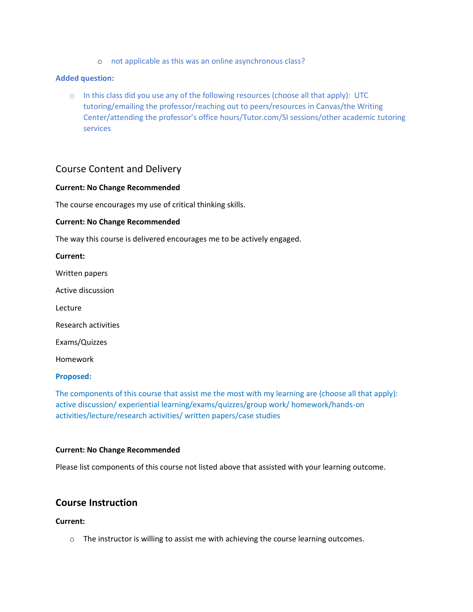o not applicable as this was an online asynchronous class?

#### **Added question:**

 $\circ$  In this class did you use any of the following resources (choose all that apply): UTC tutoring/emailing the professor/reaching out to peers/resources in Canvas/the Writing Center/attending the professor's office hours/Tutor.com/SI sessions/other academic tutoring services

## Course Content and Delivery

#### **Current: No Change Recommended**

The course encourages my use of critical thinking skills.

#### **Current: No Change Recommended**

The way this course is delivered encourages me to be actively engaged.

| Current:                   |
|----------------------------|
| Written papers             |
| Active discussion          |
| Lecture                    |
| <b>Research activities</b> |
| Exams/Quizzes              |
| Homework                   |
|                            |

#### **Proposed:**

The components of this course that assist me the most with my learning are (choose all that apply): active discussion/ experiential learning/exams/quizzes/group work/ homework/hands-on activities/lecture/research activities/ written papers/case studies

#### **Current: No Change Recommended**

Please list components of this course not listed above that assisted with your learning outcome.

## **Course Instruction**

#### **Current:**

 $\circ$  The instructor is willing to assist me with achieving the course learning outcomes.